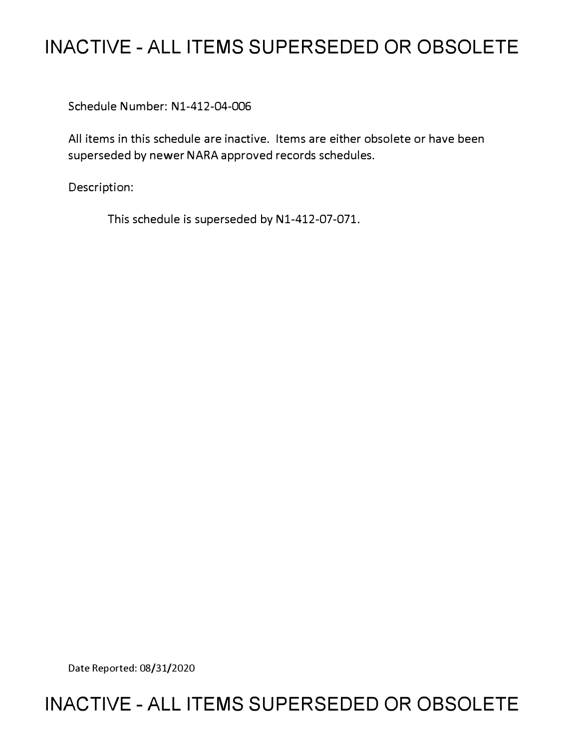## **INACTIVE - ALL ITEMS SUPERSEDED OR OBSOLETE**

Schedule Number: Nl-412-04-006

All items in this schedule are inactive. Items are either obsolete or have been superseded by newer NARA approved records schedules.

Description:

This schedule is superseded by N1-412-07-071.

Date Reported: 08/31/2020

## **INACTIVE - ALL ITEMS SUPERSEDED OR OBSOLETE**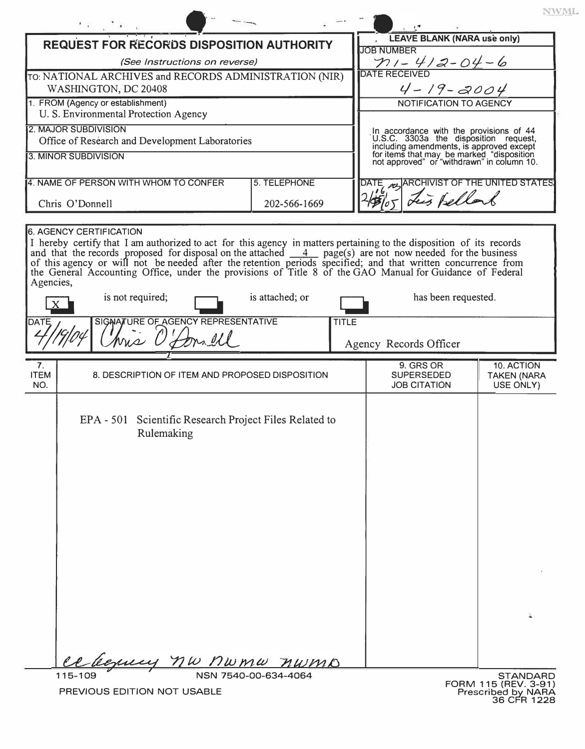| <b>REQUEST FOR RECORDS DISPOSITION AUTHORITY</b>                                                                                                                                                                                         |                                                        | <b>LEAVE BLANK (NARA use only)</b>                                                                                                                                                                                      |                    |
|------------------------------------------------------------------------------------------------------------------------------------------------------------------------------------------------------------------------------------------|--------------------------------------------------------|-------------------------------------------------------------------------------------------------------------------------------------------------------------------------------------------------------------------------|--------------------|
| (See Instructions on reverse)                                                                                                                                                                                                            |                                                        | <b>JOB NUMBER</b>                                                                                                                                                                                                       |                    |
| TO: NATIONAL ARCHIVES and RECORDS ADMINISTRATION (NIR)                                                                                                                                                                                   |                                                        | $\frac{\gamma_1-\gamma_2-\gamma_1-\gamma_2-\gamma_1-\gamma_2-\gamma_1}{\text{parte } \text{RECEIVED}}$                                                                                                                  |                    |
| WASHINGTON, DC 20408                                                                                                                                                                                                                     |                                                        | $4 - 19 - 2004$                                                                                                                                                                                                         |                    |
| 1. FROM (Agency or establishment)                                                                                                                                                                                                        |                                                        | NOTIFICATION TO AGENCY                                                                                                                                                                                                  |                    |
| U. S. Environmental Protection Agency                                                                                                                                                                                                    |                                                        |                                                                                                                                                                                                                         |                    |
| <b>2. MAJOR SUBDIVISION</b>                                                                                                                                                                                                              |                                                        |                                                                                                                                                                                                                         |                    |
| Office of Research and Development Laboratories                                                                                                                                                                                          |                                                        | In accordance with the provisions of 44<br>U.S.C. 3303a the disposition request,<br>including amendments, is approved except<br>for items that may be marked "disposition<br>not approved" or "withdrawn" in column 10. |                    |
| 3. MINOR SUBDIVISION                                                                                                                                                                                                                     |                                                        |                                                                                                                                                                                                                         |                    |
| 4. NAME OF PERSON WITH WHOM TO CONFER                                                                                                                                                                                                    | 5. TELEPHONE                                           | ARCHIVIST OF THE UNITED STATES<br>DATE                                                                                                                                                                                  |                    |
|                                                                                                                                                                                                                                          |                                                        | tes Bellar                                                                                                                                                                                                              |                    |
| Chris O'Donnell                                                                                                                                                                                                                          | 202-566-1669                                           |                                                                                                                                                                                                                         |                    |
| <b>6. AGENCY CERTIFICATION</b>                                                                                                                                                                                                           |                                                        |                                                                                                                                                                                                                         |                    |
|                                                                                                                                                                                                                                          |                                                        |                                                                                                                                                                                                                         |                    |
|                                                                                                                                                                                                                                          |                                                        |                                                                                                                                                                                                                         |                    |
| I hereby certify that I am authorized to act for this agency in matters pertaining to the disposition of its records<br>and that the records proposed for disposal on the attached $\frac{4}{\sqrt{2}}$ page(s) are not now needed for t |                                                        |                                                                                                                                                                                                                         |                    |
| the General Accounting Office, under the provisions of Title 8 of the GAO Manual for Guidance of Federal                                                                                                                                 |                                                        |                                                                                                                                                                                                                         |                    |
| Agencies,                                                                                                                                                                                                                                |                                                        |                                                                                                                                                                                                                         |                    |
| is not required;                                                                                                                                                                                                                         | is attached; or                                        | has been requested.                                                                                                                                                                                                     |                    |
| SIGNATURE OF AGENCY REPRESENTATIVE<br>DATE                                                                                                                                                                                               | <b>TITLE</b>                                           |                                                                                                                                                                                                                         |                    |
| hrs O'                                                                                                                                                                                                                                   |                                                        |                                                                                                                                                                                                                         |                    |
|                                                                                                                                                                                                                                          |                                                        | Agency Records Officer                                                                                                                                                                                                  |                    |
| 7.                                                                                                                                                                                                                                       |                                                        | 9. GRS OR                                                                                                                                                                                                               | 10. ACTION         |
| <b>ITEM</b>                                                                                                                                                                                                                              | 8. DESCRIPTION OF ITEM AND PROPOSED DISPOSITION        | <b>SUPERSEDED</b>                                                                                                                                                                                                       | <b>TAKEN (NARA</b> |
| NO.                                                                                                                                                                                                                                      |                                                        | <b>JOB CITATION</b>                                                                                                                                                                                                     | USE ONLY)          |
|                                                                                                                                                                                                                                          |                                                        |                                                                                                                                                                                                                         |                    |
|                                                                                                                                                                                                                                          | EPA - 501 Scientific Research Project Files Related to |                                                                                                                                                                                                                         |                    |
|                                                                                                                                                                                                                                          |                                                        |                                                                                                                                                                                                                         |                    |
|                                                                                                                                                                                                                                          |                                                        |                                                                                                                                                                                                                         |                    |
| Rulemaking                                                                                                                                                                                                                               |                                                        |                                                                                                                                                                                                                         |                    |
|                                                                                                                                                                                                                                          |                                                        |                                                                                                                                                                                                                         |                    |
|                                                                                                                                                                                                                                          |                                                        |                                                                                                                                                                                                                         |                    |
|                                                                                                                                                                                                                                          |                                                        |                                                                                                                                                                                                                         |                    |
|                                                                                                                                                                                                                                          |                                                        |                                                                                                                                                                                                                         |                    |
|                                                                                                                                                                                                                                          |                                                        |                                                                                                                                                                                                                         |                    |
|                                                                                                                                                                                                                                          |                                                        |                                                                                                                                                                                                                         |                    |
|                                                                                                                                                                                                                                          |                                                        |                                                                                                                                                                                                                         |                    |
|                                                                                                                                                                                                                                          |                                                        |                                                                                                                                                                                                                         |                    |
|                                                                                                                                                                                                                                          |                                                        |                                                                                                                                                                                                                         |                    |
|                                                                                                                                                                                                                                          |                                                        |                                                                                                                                                                                                                         |                    |
|                                                                                                                                                                                                                                          |                                                        |                                                                                                                                                                                                                         |                    |
|                                                                                                                                                                                                                                          |                                                        |                                                                                                                                                                                                                         |                    |
|                                                                                                                                                                                                                                          |                                                        |                                                                                                                                                                                                                         | ù.                 |
|                                                                                                                                                                                                                                          |                                                        |                                                                                                                                                                                                                         |                    |
|                                                                                                                                                                                                                                          |                                                        |                                                                                                                                                                                                                         |                    |
|                                                                                                                                                                                                                                          | were no numer numb                                     |                                                                                                                                                                                                                         |                    |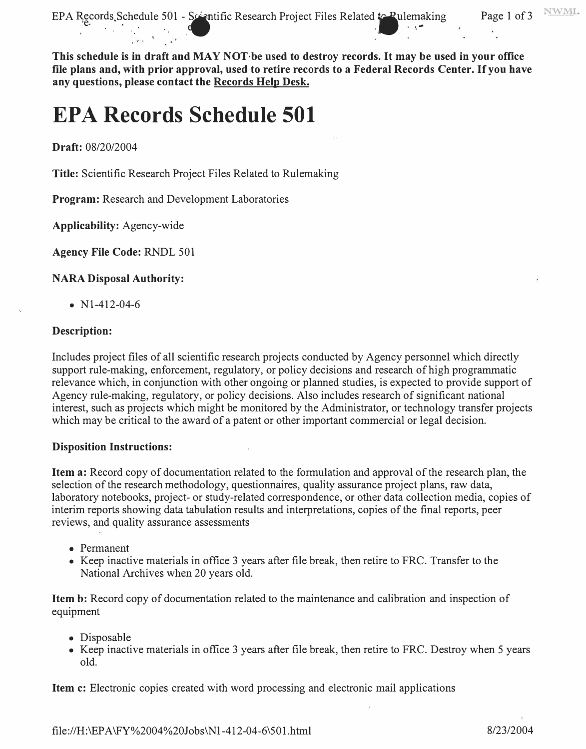EPA Records Schedule 501 - Scentific Research Project Files Related to Pulemaking Page 1 of 3

**This schedule is in draft and MAY NOT·be used to destroy records. It may be used in your office file plans and, with prior approval, used to retire records to a Federal Records Center. If you have any questions, please contact the Records Help Desk.** 

the contract of the contract of the contract of the contract of the contract of the contract of the contract of the contract of the contract of the contract of the contract of the contract of the contract of the contract o

# **EPA Records Schedule 501**

**Draft:** 08/20/2004

**Title:** Scientific Research Project Files Related to Rulemaking

**Program:** Research and Development Laboratories

**Applicability:** Agency-wide

**Agency File Code:** RNDL 501

#### **NARA Disposal Authority:**

•  $N1-412-04-6$ 

#### **Description:**

Includes project files of all scientific research projects conducted by Agency personnel which directly support rule-making, enforcement, regulatory, or policy decisions and research of high programmatic relevance which, in conjunction with other ongoing or planned studies, is expected to provide support of Agency rule-making, regulatory, or policy decisions. Also includes research of significant national interest, such as projects which might be monitored by the Administrator, or technology transfer projects which may be critical to the award of a patent or other important commercial or legal decision.

#### **Disposition Instructions:**

**Item a:** Record copy of documentation related to the formulation and approval of the research plan, the selection of the research methodology, questionnaires, quality assurance project plans, raw data, laboratory notebooks, project- or study-related correspondence, or other data collection media, copies of interim reports showing data tabulation results and interpretations, copies of the final reports, peer reviews, and quality assurance assessments

- Permanent
- Keep inactive materials in office 3 years after file break, then retire to PRC. Transfer to the National Archives when 20 years old.

**Item b:** Record copy of documentation related to the maintenance and calibration and inspection of equipment

- Disposable
- Keep inactive materials in office 3 years after file break, then retire to FRC. Destroy when 5 years old.

**Item c:** Electronic copies created with word processing and electronic mail applications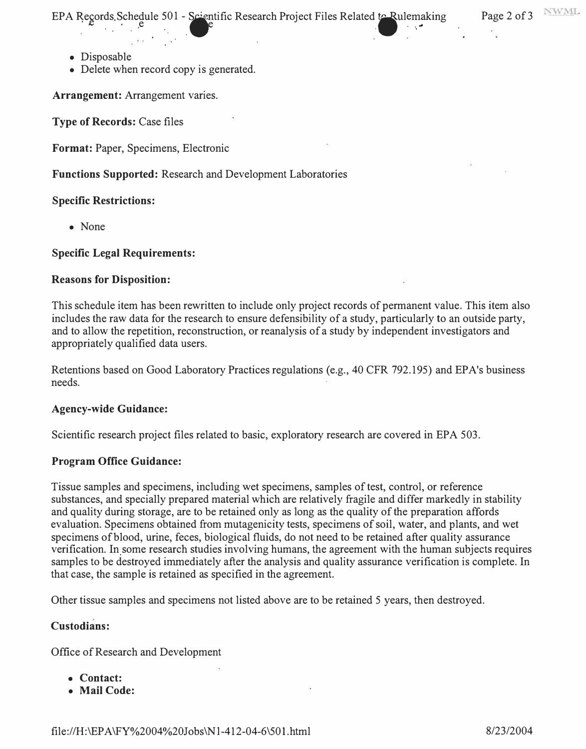EPA Records Schedule 501 - Scientific Research Project Files Related to Rulemaking Page 2 of 3

- Disposable
- Delete when record copy is generated.

**Arrangement:** Arrangement varies.

**Type of Records:** Case files

**Format:** Paper, Specimens, Electronic

**Functions Supported:** Research and Development Laboratories

#### **Specific Restrictions:**

• None

#### **Specific Legal Requirements:**

#### **Reasons for Disposition:**

This schedule item has been rewritten to include only project records of permanent value. This item also includes the raw data for the research to ensure defensibility of a study, particularly to an outside party, and to allow the repetition, reconstruction, or reanalysis of a study by independent investigators and appropriately qualified data users.

Retentions based on Good Laboratory Practices regulations (e.g., 40 CFR 792.195) and EPA's business needs.

#### **Agency-wide Guidance:**

Scientific research project files related to basic, exploratory research are covered in EPA 503.

#### **Program Office Guidance:**

Tissue samples and specimens, including wet specimens, samples of test, control, or reference substances, and specially prepared material which are relatively fragile and differ markedly in stability and quality during storage, are to be retained only as long as the quality of the preparation affords evaluation. Specimens obtained from mutagenicity tests, specimens of soil, water, and plants, and wet specimens of blood, urine, feces, biological fluids, do not need to be retained after quality assurance verification. In some research studies involving humans, the agreement with the human subjects requires samples to be destroyed immediately after the analysis and quality assurance verification is complete. In that case, the sample is retained as specified in the agreement.

Other tissue samples and specimens not listed above are to be retained 5 years, then destroyed.

#### **Custodians:**

Office of Research and Development

- **Contact:**
- **Mail Code:**